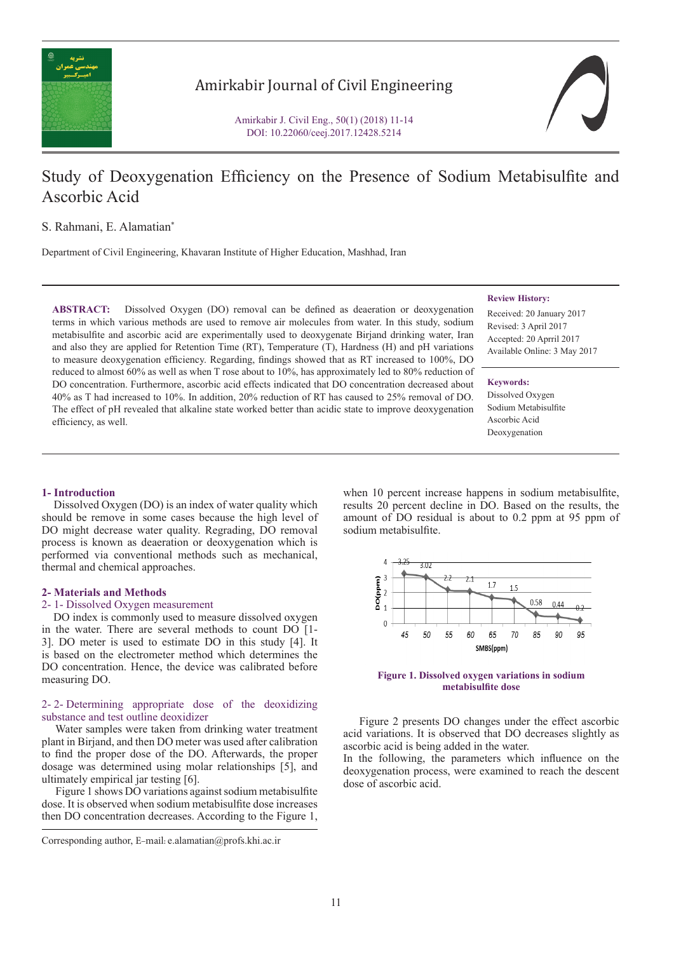

Amirkabir Journal of Civil Engineering

Amirkabir J. Civil Eng., 50(1) (2018) 11-14 DOI: 10.22060/ceej.2017.12428.5214

# Study of Deoxygenation Efficiency on the Presence of Sodium Metabisulfite and Ascorbic Acid

S. Rahmani, E. Alamatian\*

Department of Civil Engineering, Khavaran Institute of Higher Education, Mashhad, Iran

**ABSTRACT:** Dissolved Oxygen (DO) removal can be defined as deaeration or deoxygenation terms in which various methods are used to remove air molecules from water. In this study, sodium metabisulfite and ascorbic acid are experimentally used to deoxygenate Birjand drinking water, Iran and also they are applied for Retention Time (RT), Temperature (T), Hardness (H) and pH variations to measure deoxygenation efficiency. Regarding, findings showed that as RT increased to 100%, DO reduced to almost 60% as well as when T rose about to 10%, has approximately led to 80% reduction of DO concentration. Furthermore, ascorbic acid effects indicated that DO concentration decreased about 40% as T had increased to 10%. In addition, 20% reduction of RT has caused to 25% removal of DO. The effect of pH revealed that alkaline state worked better than acidic state to improve deoxygenation efficiency, as well.

#### **Review History:**

Received: 20 January 2017 Revised: 3 April 2017 Accepted: 20 Aprril 2017 Available Online: 3 May 2017

**Keywords:** Dissolved Oxygen Sodium Metabisulfite Ascorbic Acid Deoxygenation

# **1- Introduction**

 Dissolved Oxygen (DO) is an index of water quality which should be remove in some cases because the high level of DO might decrease water quality. Regrading, DO removal process is known as deaeration or deoxygenation which is performed via conventional methods such as mechanical, thermal and chemical approaches.

## **2- Materials and Methods**

# 2- 1- Dissolved Oxygen measurement

 DO index is commonly used to measure dissolved oxygen in the water. There are several methods to count DO [1- 3]. DO meter is used to estimate DO in this study [4]. It is based on the electrometer method which determines the DO concentration. Hence, the device was calibrated before measuring DO.

# 2- 2- Determining appropriate dose of the deoxidizing substance and test outline deoxidizer

 Water samples were taken from drinking water treatment plant in Birjand, and then DO meter was used after calibration to find the proper dose of the DO. Afterwards, the proper dosage was determined using molar relationships [5], and ultimately empirical jar testing [6].

 Figure 1 shows DO variations against sodium metabisulfite dose. It is observed when sodium metabisulfite dose increases then DO concentration decreases. According to the Figure 1,

Corresponding author, E-mail: e.alamatian@profs.khi.ac.ir

when 10 percent increase happens in sodium metabisulfite, results 20 percent decline in DO. Based on the results, the amount of DO residual is about to 0.2 ppm at 95 ppm of sodium metabisulfite.



**Figure 1. Dissolved oxygen variations in sodium metabisulfite dose**

 Figure 2 presents DO changes under the effect ascorbic acid variations. It is observed that DO decreases slightly as ascorbic acid is being added in the water.

In the following, the parameters which influence on the deoxygenation process, were examined to reach the descent dose of ascorbic acid.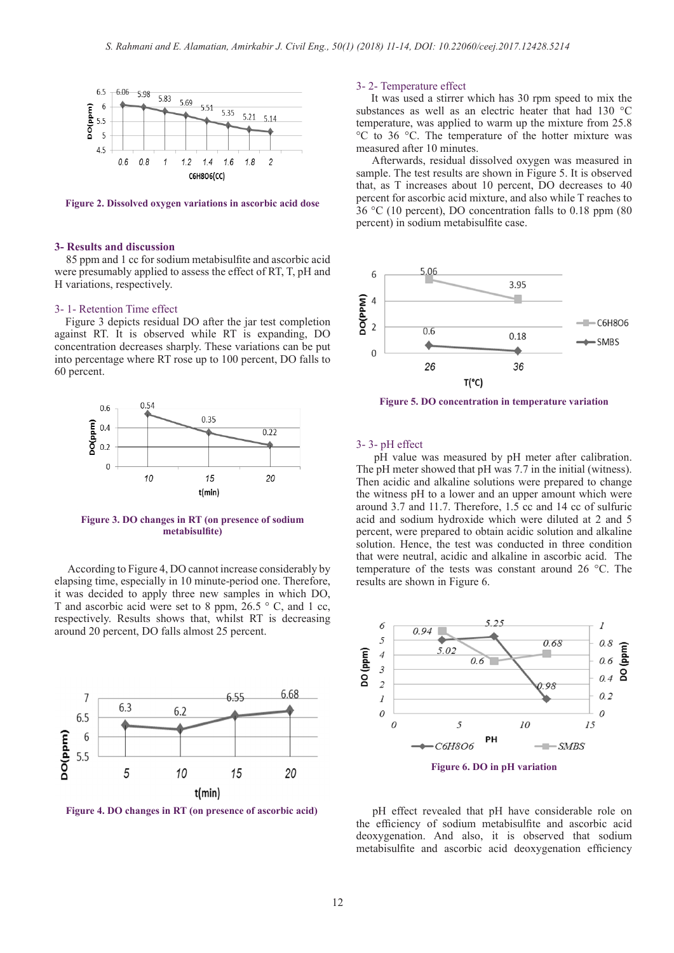

**Figure 2. Dissolved oxygen variations in ascorbic acid dose**

## **3- Results and discussion**

 85 ppm and 1 cc for sodium metabisulfite and ascorbic acid were presumably applied to assess the effect of RT, T, pH and H variations, respectively.

# 3- 1- Retention Time effect

 Figure 3 depicts residual DO after the jar test completion against RT. It is observed while RT is expanding, DO concentration decreases sharply. These variations can be put into percentage where RT rose up to 100 percent, DO falls to 60 percent.



**Figure 3. DO changes in RT (on presence of sodium metabisulfite)**

 According to Figure 4, DO cannot increase considerably by elapsing time, especially in 10 minute-period one. Therefore, it was decided to apply three new samples in which DO, T and ascorbic acid were set to 8 ppm, 26.5 ° C, and 1 cc, respectively. Results shows that, whilst RT is decreasing around 20 percent, DO falls almost 25 percent.



**Figure 4. DO changes in RT (on presence of ascorbic acid)**

## 3- 2- Temperature effect

It was used a stirrer which has 30 rpm speed to mix the substances as well as an electric heater that had 130 °C temperature, was applied to warm up the mixture from 25.8 °C to 36 °C. The temperature of the hotter mixture was measured after 10 minutes.

 Afterwards, residual dissolved oxygen was measured in sample. The test results are shown in Figure 5. It is observed that, as T increases about 10 percent, DO decreases to 40 percent for ascorbic acid mixture, and also while T reaches to 36 °C (10 percent), DO concentration falls to 0.18 ppm (80 percent) in sodium metabisulfite case.



**Figure 5. DO concentration in temperature variation**

#### 3- 3- pH effect

 pH value was measured by pH meter after calibration. The pH meter showed that pH was 7.7 in the initial (witness). Then acidic and alkaline solutions were prepared to change the witness pH to a lower and an upper amount which were around 3.7 and 11.7. Therefore, 1.5 cc and 14 cc of sulfuric acid and sodium hydroxide which were diluted at 2 and 5 percent, were prepared to obtain acidic solution and alkaline solution. Hence, the test was conducted in three condition that were neutral, acidic and alkaline in ascorbic acid. The temperature of the tests was constant around 26 °C. The results are shown in Figure 6.



 pH effect revealed that pH have considerable role on the efficiency of sodium metabisulfite and ascorbic acid deoxygenation. And also, it is observed that sodium metabisulfite and ascorbic acid deoxygenation efficiency